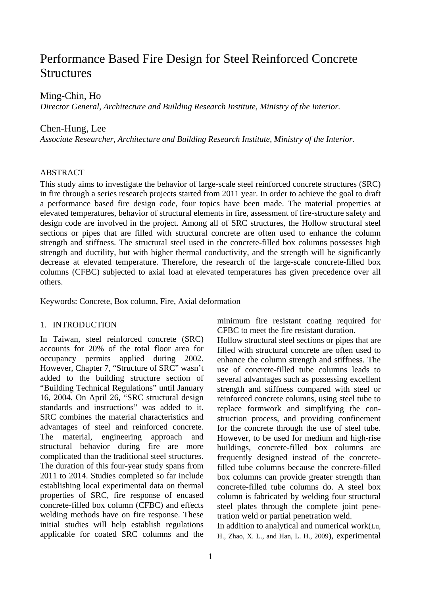# Performance Based Fire Design for Steel Reinforced Concrete **Structures**

# Ming-Chin, Ho

*Director General, Architecture and Building Research Institute, Ministry of the Interior.* 

## Chen-Hung, Lee

*Associate Researcher, Architecture and Building Research Institute, Ministry of the Interior.* 

# ABSTRACT

This study aims to investigate the behavior of large-scale steel reinforced concrete structures (SRC) in fire through a series research projects started from 2011 year. In order to achieve the goal to draft a performance based fire design code, four topics have been made. The material properties at elevated temperatures, behavior of structural elements in fire, assessment of fire-structure safety and design code are involved in the project. Among all of SRC structures, the Hollow structural steel sections or pipes that are filled with structural concrete are often used to enhance the column strength and stiffness. The structural steel used in the concrete-filled box columns possesses high strength and ductility, but with higher thermal conductivity, and the strength will be significantly decrease at elevated temperature. Therefore, the research of the large-scale concrete-filled box columns (CFBC) subjected to axial load at elevated temperatures has given precedence over all others.

Keywords: Concrete, Box column, Fire, Axial deformation

#### 1. INTRODUCTION

In Taiwan, steel reinforced concrete (SRC) accounts for 20% of the total floor area for occupancy permits applied during 2002. However, Chapter 7, "Structure of SRC" wasn't added to the building structure section of "Building Technical Regulations" until January 16, 2004. On April 26, "SRC structural design standards and instructions" was added to it. SRC combines the material characteristics and advantages of steel and reinforced concrete. The material, engineering approach and structural behavior during fire are more complicated than the traditional steel structures. The duration of this four-year study spans from 2011 to 2014. Studies completed so far include establishing local experimental data on thermal properties of SRC, fire response of encased concrete-filled box column (CFBC) and effects welding methods have on fire response. These initial studies will help establish regulations applicable for coated SRC columns and the minimum fire resistant coating required for CFBC to meet the fire resistant duration.

Hollow structural steel sections or pipes that are filled with structural concrete are often used to enhance the column strength and stiffness. The use of concrete-filled tube columns leads to several advantages such as possessing excellent strength and stiffness compared with steel or reinforced concrete columns, using steel tube to replace formwork and simplifying the construction process, and providing confinement for the concrete through the use of steel tube. However, to be used for medium and high-rise buildings, concrete-filled box columns are frequently designed instead of the concretefilled tube columns because the concrete-filled box columns can provide greater strength than concrete-filled tube columns do. A steel box column is fabricated by welding four structural steel plates through the complete joint penetration weld or partial penetration weld.

In addition to analytical and numerical work(Lu, H., Zhao, X. L., and Han, L. H., 2009), experimental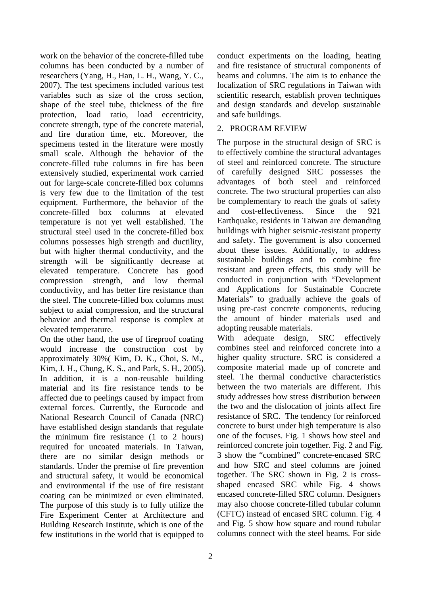work on the behavior of the concrete-filled tube columns has been conducted by a number of researchers (Yang, H., Han, L. H., Wang, Y. C., 2007). The test specimens included various test variables such as size of the cross section, shape of the steel tube, thickness of the fire protection, load ratio, load eccentricity, concrete strength, type of the concrete material, and fire duration time, etc. Moreover, the specimens tested in the literature were mostly small scale. Although the behavior of the concrete-filled tube columns in fire has been extensively studied, experimental work carried out for large-scale concrete-filled box columns is very few due to the limitation of the test equipment. Furthermore, the behavior of the concrete-filled box columns at elevated temperature is not yet well established. The structural steel used in the concrete-filled box columns possesses high strength and ductility, but with higher thermal conductivity, and the strength will be significantly decrease at elevated temperature. Concrete has good compression strength, and low thermal conductivity, and has better fire resistance than the steel. The concrete-filled box columns must subject to axial compression, and the structural behavior and thermal response is complex at elevated temperature.

On the other hand, the use of fireproof coating would increase the construction cost by approximately 30%( Kim, D. K., Choi, S. M., Kim, J. H., Chung, K. S., and Park, S. H., 2005). In addition, it is a non-reusable building material and its fire resistance tends to be affected due to peelings caused by impact from external forces. Currently, the Eurocode and National Research Council of Canada (NRC) have established design standards that regulate the minimum fire resistance (1 to 2 hours) required for uncoated materials. In Taiwan, there are no similar design methods or standards. Under the premise of fire prevention and structural safety, it would be economical and environmental if the use of fire resistant coating can be minimized or even eliminated. The purpose of this study is to fully utilize the Fire Experiment Center at Architecture and Building Research Institute, which is one of the few institutions in the world that is equipped to

conduct experiments on the loading, heating and fire resistance of structural components of beams and columns. The aim is to enhance the localization of SRC regulations in Taiwan with scientific research, establish proven techniques and design standards and develop sustainable and safe buildings.

# 2. PROGRAM REVIEW

The purpose in the structural design of SRC is to effectively combine the structural advantages of steel and reinforced concrete. The structure of carefully designed SRC possesses the advantages of both steel and reinforced concrete. The two structural properties can also be complementary to reach the goals of safety and cost-effectiveness. Since the 921 Earthquake, residents in Taiwan are demanding buildings with higher seismic-resistant property and safety. The government is also concerned about these issues. Additionally, to address sustainable buildings and to combine fire resistant and green effects, this study will be conducted in conjunction with "Development and Applications for Sustainable Concrete Materials" to gradually achieve the goals of using pre-cast concrete components, reducing the amount of binder materials used and adopting reusable materials.

With adequate design, SRC effectively combines steel and reinforced concrete into a higher quality structure. SRC is considered a composite material made up of concrete and steel. The thermal conductive characteristics between the two materials are different. This study addresses how stress distribution between the two and the dislocation of joints affect fire resistance of SRC. The tendency for reinforced concrete to burst under high temperature is also one of the focuses. Fig. 1 shows how steel and reinforced concrete join together. Fig. 2 and Fig. 3 show the "combined" concrete-encased SRC and how SRC and steel columns are joined together. The SRC shown in Fig. 2 is crossshaped encased SRC while Fig. 4 shows encased concrete-filled SRC column. Designers may also choose concrete-filled tubular column (CFTC) instead of encased SRC column. Fig. 4 and Fig. 5 show how square and round tubular columns connect with the steel beams. For side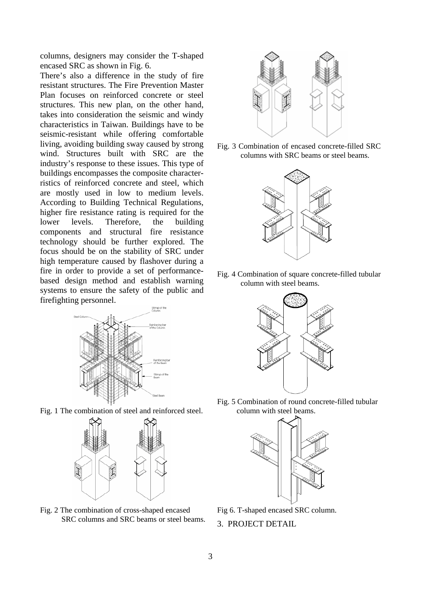columns, designers may consider the T-shaped encased SRC as shown in Fig. 6.

There's also a difference in the study of fire resistant structures. The Fire Prevention Master Plan focuses on reinforced concrete or steel structures. This new plan, on the other hand, takes into consideration the seismic and windy characteristics in Taiwan. Buildings have to be seismic-resistant while offering comfortable living, avoiding building sway caused by strong wind. Structures built with SRC are the industry's response to these issues. This type of buildings encompasses the composite characterristics of reinforced concrete and steel, which are mostly used in low to medium levels. According to Building Technical Regulations, higher fire resistance rating is required for the lower levels. Therefore, the building components and structural fire resistance technology should be further explored. The focus should be on the stability of SRC under high temperature caused by flashover during a fire in order to provide a set of performancebased design method and establish warning systems to ensure the safety of the public and firefighting personnel.



Fig. 1 The combination of steel and reinforced steel.



Fig. 2 The combination of cross-shaped encased SRC columns and SRC beams or steel beams.



Fig. 3 Combination of encased concrete-filled SRC columns with SRC beams or steel beams.



Fig. 4 Combination of square concrete-filled tubular column with steel beams.



Fig. 5 Combination of round concrete-filled tubular column with steel beams.



Fig 6. T-shaped encased SRC column. 3. PROJECT DETAIL

3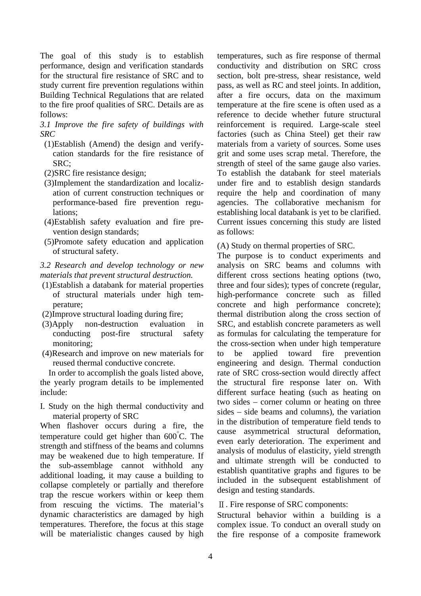The goal of this study is to establish performance, design and verification standards for the structural fire resistance of SRC and to study current fire prevention regulations within Building Technical Regulations that are related to the fire proof qualities of SRC. Details are as follows:

*3.1 Improve the fire safety of buildings with SRC* 

- (1)Establish (Amend) the design and verifycation standards for the fire resistance of SRC;
- (2)SRC fire resistance design;
- (3)Implement the standardization and localization of current construction techniques or performance-based fire prevention regulations;
- (4)Establish safety evaluation and fire prevention design standards;
- (5)Promote safety education and application of structural safety.

*3.2 Research and develop technology or new materials that prevent structural destruction.* 

- (1)Establish a databank for material properties of structural materials under high temperature;
- (2)Improve structural loading during fire;
- (3)Apply non-destruction evaluation in conducting post-fire structural safety monitoring;
- (4)Research and improve on new materials for reused thermal conductive concrete.

In order to accomplish the goals listed above, the yearly program details to be implemented include:

I. Study on the high thermal conductivity and material property of SRC

When flashover occurs during a fire, the temperature could get higher than  $600^{\circ}$ C. The strength and stiffness of the beams and columns may be weakened due to high temperature. If the sub-assemblage cannot withhold any additional loading, it may cause a building to collapse completely or partially and therefore trap the rescue workers within or keep them from rescuing the victims. The material's dynamic characteristics are damaged by high temperatures. Therefore, the focus at this stage will be materialistic changes caused by high

temperatures, such as fire response of thermal conductivity and distribution on SRC cross section, bolt pre-stress, shear resistance, weld pass, as well as RC and steel joints. In addition, after a fire occurs, data on the maximum temperature at the fire scene is often used as a reference to decide whether future structural reinforcement is required. Large-scale steel factories (such as China Steel) get their raw materials from a variety of sources. Some uses grit and some uses scrap metal. Therefore, the strength of steel of the same gauge also varies. To establish the databank for steel materials under fire and to establish design standards require the help and coordination of many agencies. The collaborative mechanism for establishing local databank is yet to be clarified. Current issues concerning this study are listed as follows:

(A) Study on thermal properties of SRC.

The purpose is to conduct experiments and analysis on SRC beams and columns with different cross sections heating options (two, three and four sides); types of concrete (regular, high-performance concrete such as filled concrete and high performance concrete); thermal distribution along the cross section of SRC, and establish concrete parameters as well as formulas for calculating the temperature for the cross-section when under high temperature to be applied toward fire prevention engineering and design. Thermal conduction rate of SRC cross-section would directly affect the structural fire response later on. With different surface heating (such as heating on two sides – corner column or heating on three sides – side beams and columns), the variation in the distribution of temperature field tends to cause asymmetrical structural deformation, even early deterioration. The experiment and analysis of modulus of elasticity, yield strength and ultimate strength will be conducted to establish quantitative graphs and figures to be included in the subsequent establishment of design and testing standards.

Ⅱ. Fire response of SRC components:

Structural behavior within a building is a complex issue. To conduct an overall study on the fire response of a composite framework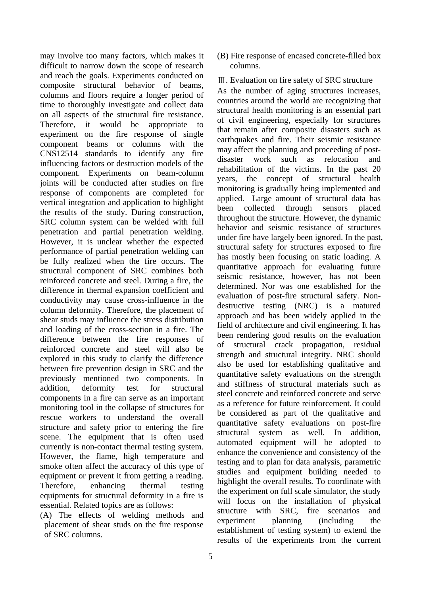may involve too many factors, which makes it difficult to narrow down the scope of research and reach the goals. Experiments conducted on composite structural behavior of beams, columns and floors require a longer period of time to thoroughly investigate and collect data on all aspects of the structural fire resistance. Therefore, it would be appropriate to experiment on the fire response of single component beams or columns with the CNS12514 standards to identify any fire influencing factors or destruction models of the component. Experiments on beam-column joints will be conducted after studies on fire response of components are completed for vertical integration and application to highlight the results of the study. During construction, SRC column system can be welded with full penetration and partial penetration welding. However, it is unclear whether the expected performance of partial penetration welding can be fully realized when the fire occurs. The structural component of SRC combines both reinforced concrete and steel. During a fire, the difference in thermal expansion coefficient and conductivity may cause cross-influence in the column deformity. Therefore, the placement of shear studs may influence the stress distribution and loading of the cross-section in a fire. The difference between the fire responses of reinforced concrete and steel will also be explored in this study to clarify the difference between fire prevention design in SRC and the previously mentioned two components. In addition, deformity test for structural components in a fire can serve as an important monitoring tool in the collapse of structures for rescue workers to understand the overall structure and safety prior to entering the fire scene. The equipment that is often used currently is non-contact thermal testing system. However, the flame, high temperature and smoke often affect the accuracy of this type of equipment or prevent it from getting a reading. Therefore, enhancing thermal testing equipments for structural deformity in a fire is essential. Related topics are as follows:

(A) The effects of welding methods and placement of shear studs on the fire response of SRC columns.

- (B) Fire response of encased concrete-filled box columns.
- Ⅲ. Evaluation on fire safety of SRC structure

As the number of aging structures increases, countries around the world are recognizing that structural health monitoring is an essential part of civil engineering, especially for structures that remain after composite disasters such as earthquakes and fire. Their seismic resistance may affect the planning and proceeding of postdisaster work such as relocation and rehabilitation of the victims. In the past 20 years, the concept of structural health monitoring is gradually being implemented and applied. Large amount of structural data has been collected through sensors placed throughout the structure. However, the dynamic behavior and seismic resistance of structures under fire have largely been ignored. In the past, structural safety for structures exposed to fire has mostly been focusing on static loading. A quantitative approach for evaluating future seismic resistance, however, has not been determined. Nor was one established for the evaluation of post-fire structural safety. Nondestructive testing (NRC) is a matured approach and has been widely applied in the field of architecture and civil engineering. It has been rendering good results on the evaluation of structural crack propagation, residual strength and structural integrity. NRC should also be used for establishing qualitative and quantitative safety evaluations on the strength and stiffness of structural materials such as steel concrete and reinforced concrete and serve as a reference for future reinforcement. It could be considered as part of the qualitative and quantitative safety evaluations on post-fire structural system as well. In addition, automated equipment will be adopted to enhance the convenience and consistency of the testing and to plan for data analysis, parametric studies and equipment building needed to highlight the overall results. To coordinate with the experiment on full scale simulator, the study will focus on the installation of physical structure with SRC, fire scenarios and experiment planning (including the establishment of testing system) to extend the results of the experiments from the current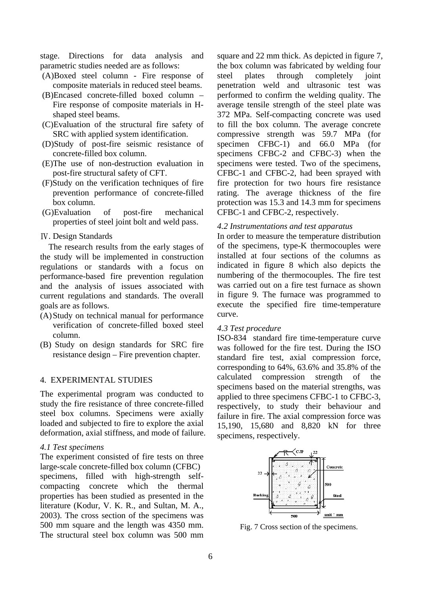stage. Directions for data analysis and parametric studies needed are as follows:

- (A)Boxed steel column Fire response of composite materials in reduced steel beams.
- (B)Encased concrete-filled boxed column Fire response of composite materials in Hshaped steel beams.
- (C)Evaluation of the structural fire safety of SRC with applied system identification.
- (D)Study of post-fire seismic resistance of concrete-filled box column.
- (E)The use of non-destruction evaluation in post-fire structural safety of CFT.
- (F)Study on the verification techniques of fire prevention performance of concrete-filled box column.
- (G)Evaluation of post-fire mechanical properties of steel joint bolt and weld pass.

## Ⅳ. Design Standards

The research results from the early stages of the study will be implemented in construction regulations or standards with a focus on performance-based fire prevention regulation and the analysis of issues associated with current regulations and standards. The overall goals are as follows.

- (A)Study on technical manual for performance verification of concrete-filled boxed steel column.
- (B) Study on design standards for SRC fire resistance design – Fire prevention chapter.

#### 4. EXPERIMENTAL STUDIES

The experimental program was conducted to study the fire resistance of three concrete-filled steel box columns. Specimens were axially loaded and subjected to fire to explore the axial deformation, axial stiffness, and mode of failure.

#### *4.1 Test specimens*

The experiment consisted of fire tests on three large-scale concrete-filled box column (CFBC) specimens, filled with high-strength selfcompacting concrete which the thermal properties has been studied as presented in the literature (Kodur, V. K. R., and Sultan, M. A., 2003). The cross section of the specimens was 500 mm square and the length was 4350 mm. The structural steel box column was 500 mm

square and 22 mm thick. As depicted in figure 7, the box column was fabricated by welding four steel plates through completely joint penetration weld and ultrasonic test was performed to confirm the welding quality. The average tensile strength of the steel plate was 372 MPa. Self-compacting concrete was used to fill the box column. The average concrete compressive strength was 59.7 MPa (for specimen CFBC-1) and 66.0 MPa (for specimens CFBC-2 and CFBC-3) when the specimens were tested. Two of the specimens, CFBC-1 and CFBC-2, had been sprayed with fire protection for two hours fire resistance rating. The average thickness of the fire protection was 15.3 and 14.3 mm for specimens CFBC-1 and CFBC-2, respectively.

#### *4.2 Instrumentations and test apparatus*

In order to measure the temperature distribution of the specimens, type-K thermocouples were installed at four sections of the columns as indicated in figure 8 which also depicts the numbering of the thermocouples. The fire test was carried out on a fire test furnace as shown in figure 9. The furnace was programmed to execute the specified fire time-temperature curve.

#### *4.3 Test procedure*

ISO-834 standard fire time-temperature curve was followed for the fire test. During the ISO standard fire test, axial compression force, corresponding to 64%, 63.6% and 35.8% of the calculated compression strength of the specimens based on the material strengths, was applied to three specimens CFBC-1 to CFBC-3, respectively, to study their behaviour and failure in fire. The axial compression force was 15,190, 15,680 and 8,820 kN for three specimens, respectively.



Fig. 7 Cross section of the specimens.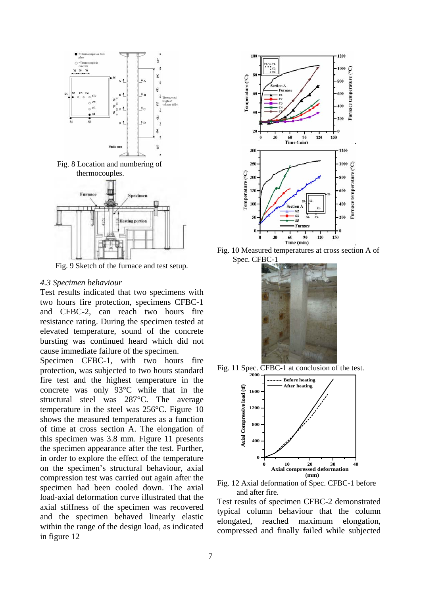





Fig. 9 Sketch of the furnace and test setup.

#### *4.3 Specimen behaviour*

Test results indicated that two specimens with two hours fire protection, specimens CFBC-1 and CFBC-2, can reach two hours fire resistance rating. During the specimen tested at elevated temperature, sound of the concrete bursting was continued heard which did not cause immediate failure of the specimen.

Specimen CFBC-1, with two hours fire protection, was subjected to two hours standard fire test and the highest temperature in the concrete was only 93°C while that in the structural steel was 287°C. The average temperature in the steel was 256°C. Figure 10 shows the measured temperatures as a function of time at cross section A. The elongation of this specimen was 3.8 mm. Figure 11 presents the specimen appearance after the test. Further, in order to explore the effect of the temperature on the specimen's structural behaviour, axial compression test was carried out again after the specimen had been cooled down. The axial load-axial deformation curve illustrated that the axial stiffness of the specimen was recovered and the specimen behaved linearly elastic within the range of the design load, as indicated in figure 12



Fig. 10 Measured temperatures at cross section A of Spec. CFBC-1







Fig. 12 Axial deformation of Spec. CFBC-1 before and after fire.

Test results of specimen CFBC-2 demonstrated typical column behaviour that the column elongated, reached maximum elongation, compressed and finally failed while subjected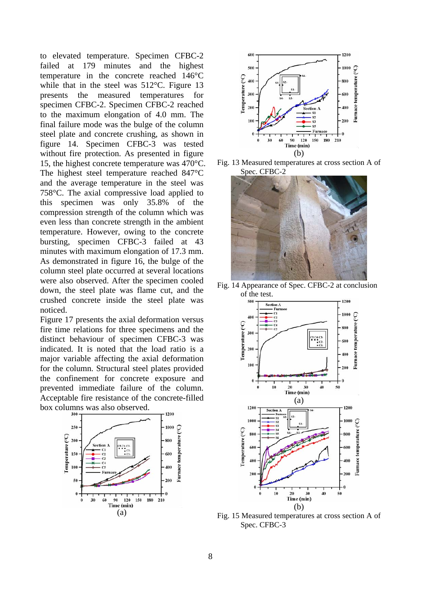to elevated temperature. Specimen CFBC-2 failed at 179 minutes and the highest temperature in the concrete reached 146°C while that in the steel was 512°C. Figure 13 presents the measured temperatures for specimen CFBC-2. Specimen CFBC-2 reached to the maximum elongation of 4.0 mm. The final failure mode was the bulge of the column steel plate and concrete crushing, as shown in figure 14. Specimen CFBC-3 was tested without fire protection. As presented in figure 15, the highest concrete temperature was 470°C. The highest steel temperature reached 847°C and the average temperature in the steel was 758°C. The axial compressive load applied to this specimen was only 35.8% of the compression strength of the column which was even less than concrete strength in the ambient temperature. However, owing to the concrete bursting, specimen CFBC-3 failed at 43 minutes with maximum elongation of 17.3 mm. As demonstrated in figure 16, the bulge of the column steel plate occurred at several locations were also observed. After the specimen cooled down, the steel plate was flame cut, and the crushed concrete inside the steel plate was noticed.

Figure 17 presents the axial deformation versus fire time relations for three specimens and the distinct behaviour of specimen CFBC-3 was indicated. It is noted that the load ratio is a major variable affecting the axial deformation for the column. Structural steel plates provided the confinement for concrete exposure and prevented immediate failure of the column. Acceptable fire resistance of the concrete-filled box columns was also observed.





Fig. 13 Measured temperatures at cross section A of Spec. CFBC-2



Fig. 14 Appearance of Spec. CFBC-2 at conclusion of the test.



Fig. 15 Measured temperatures at cross section A of Spec. CFBC-3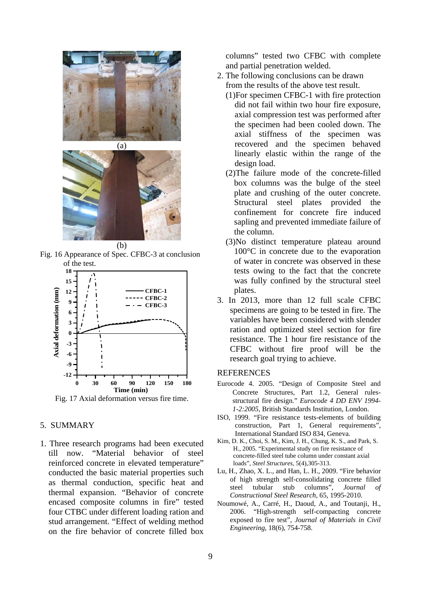



(b)

Fig. 16 Appearance of Spec. CFBC-3 at conclusion of the test.



Fig. 17 Axial deformation versus fire time.

# 5. SUMMARY

1. Three research programs had been executed till now. "Material behavior of steel reinforced concrete in elevated temperature" conducted the basic material properties such as thermal conduction, specific heat and thermal expansion. "Behavior of concrete encased composite columns in fire" tested four CTBC under different loading ration and stud arrangement. "Effect of welding method on the fire behavior of concrete filled box

columns" tested two CFBC with complete and partial penetration welded.

- 2. The following conclusions can be drawn from the results of the above test result.
	- (1)For specimen CFBC-1 with fire protection did not fail within two hour fire exposure, axial compression test was performed after the specimen had been cooled down. The axial stiffness of the specimen was recovered and the specimen behaved linearly elastic within the range of the design load.
	- (2)The failure mode of the concrete-filled box columns was the bulge of the steel plate and crushing of the outer concrete. Structural steel plates provided the confinement for concrete fire induced sapling and prevented immediate failure of the column.
	- (3)No distinct temperature plateau around 100°C in concrete due to the evaporation of water in concrete was observed in these tests owing to the fact that the concrete was fully confined by the structural steel plates.
- 3. In 2013, more than 12 full scale CFBC specimens are going to be tested in fire. The variables have been considered with slender ration and optimized steel section for fire resistance. The 1 hour fire resistance of the CFBC without fire proof will be the research goal trying to achieve.

# **REFERENCES**

- Eurocode 4. 2005. "Design of Composite Steel and Concrete Structures, Part 1.2, General rulesstructural fire design." *Eurocode 4 DD ENV 1994- 1-2:2005*, British Standards Institution, London.
- ISO, 1999. "Fire resistance tests-elements of building construction, Part 1, General requirements", International Standard ISO 834, Geneva.
- Kim, D. K., Choi, S. M., Kim, J. H., Chung, K. S., and Park, S. H., 2005. "Experimental study on fire resistance of concrete-filled steel tube column under constant axial loads", *Steel Structures*, 5(4),305-313.
- Lu, H., Zhao, X. L., and Han, L. H., 2009. "Fire behavior of high strength self-consolidating concrete filled steel tubular stub columns", *Journal of Constructional Steel Research*, 65, 1995-2010.
- Noumowé, A., Carré, H., Daoud, A., and Toutanji, H., 2006. "High-strength self-compacting concrete exposed to fire test", *Journal of Materials in Civil Engineering*, 18(6), 754-758.